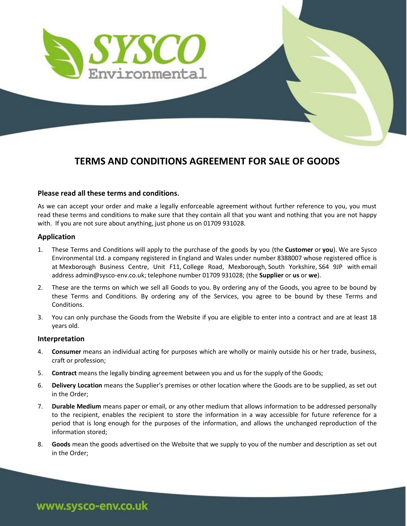

## **TERMS AND CONDITIONS AGREEMENT FOR SALE OF GOODS**

## **Please read all these terms and conditions.**

As we can accept your order and make a legally enforceable agreement without further reference to you, you must read these terms and conditions to make sure that they contain all that you want and nothing that you are not happy with. If you are not sure about anything, just phone us on 01709 931028.

## **Application**

- 1. These Terms and Conditions will apply to the purchase of the goods by you (the **Customer** or **you**). We are Sysco Environmental Ltd. a company registered in England and Wales under number 8388007 whose registered office is at Mexborough Business Centre, Unit F11, College Road, Mexborough, South Yorkshire, S64 9JP with email address admin@sysco-env.co.uk; telephone number 01709 931028; (the **Supplier** or **us** or **we**).
- 2. These are the terms on which we sell all Goods to you. By ordering any of the Goods, you agree to be bound by these Terms and Conditions. By ordering any of the Services, you agree to be bound by these Terms and Conditions.
- 3. You can only purchase the Goods from the Website if you are eligible to enter into a contract and are at least 18 years old.

## **Interpretation**

- 4. **Consumer** means an individual acting for purposes which are wholly or mainly outside his or her trade, business, craft or profession;
- 5. **Contract** means the legally binding agreement between you and us for the supply of the Goods;
- 6. **Delivery Location** means the Supplier's premises or other location where the Goods are to be supplied, as set out in the Order;
- 7. **Durable Medium** means paper or email, or any other medium that allows information to be addressed personally to the recipient, enables the recipient to store the information in a way accessible for future reference for a period that is long enough for the purposes of the information, and allows the unchanged reproduction of the information stored;
- 8. **Goods** mean the goods advertised on the Website that we supply to you of the number and description as set out in the Order;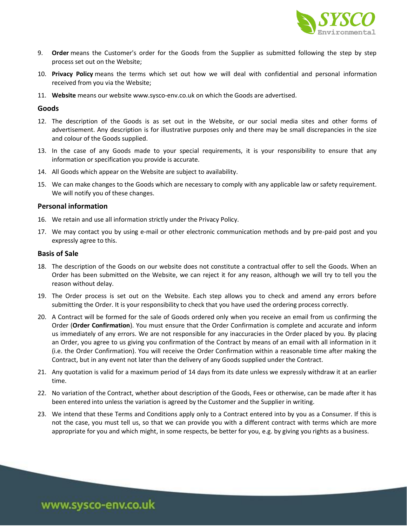

- 9. **Order** means the Customer's order for the Goods from the Supplier as submitted following the step by step process set out on the Website;
- 10. **Privacy Policy** means the terms which set out how we will deal with confidential and personal information received from you via the Website;
- 11. **Website** means our website www.sysco-env.co.uk on which the Goods are advertised.

## **Goods**

- 12. The description of the Goods is as set out in the Website, or our social media sites and other forms of advertisement. Any description is for illustrative purposes only and there may be small discrepancies in the size and colour of the Goods supplied.
- 13. In the case of any Goods made to your special requirements, it is your responsibility to ensure that any information or specification you provide is accurate.
- 14. All Goods which appear on the Website are subject to availability.
- 15. We can make changes to the Goods which are necessary to comply with any applicable law or safety requirement. We will notify you of these changes.

## **Personal information**

- 16. We retain and use all information strictly under the Privacy Policy.
- 17. We may contact you by using e-mail or other electronic communication methods and by pre-paid post and you expressly agree to this.

## **Basis of Sale**

- 18. The description of the Goods on our website does not constitute a contractual offer to sell the Goods. When an Order has been submitted on the Website, we can reject it for any reason, although we will try to tell you the reason without delay.
- 19. The Order process is set out on the Website. Each step allows you to check and amend any errors before submitting the Order. It is your responsibility to check that you have used the ordering process correctly.
- 20. A Contract will be formed for the sale of Goods ordered only when you receive an email from us confirming the Order (**Order Confirmation**). You must ensure that the Order Confirmation is complete and accurate and inform us immediately of any errors. We are not responsible for any inaccuracies in the Order placed by you. By placing an Order, you agree to us giving you confirmation of the Contract by means of an email with all information in it (i.e. the Order Confirmation). You will receive the Order Confirmation within a reasonable time after making the Contract, but in any event not later than the delivery of any Goods supplied under the Contract.
- 21. Any quotation is valid for a maximum period of 14 days from its date unless we expressly withdraw it at an earlier time.
- 22. No variation of the Contract, whether about description of the Goods, Fees or otherwise, can be made after it has been entered into unless the variation is agreed by the Customer and the Supplier in writing.
- 23. We intend that these Terms and Conditions apply only to a Contract entered into by you as a Consumer. If this is not the case, you must tell us, so that we can provide you with a different contract with terms which are more appropriate for you and which might, in some respects, be better for you, e.g. by giving you rights as a business.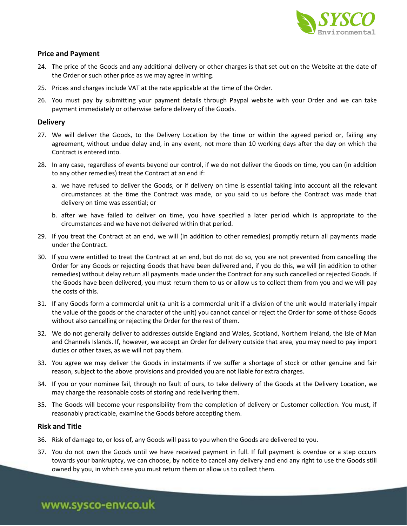

## **Price and Payment**

- 24. The price of the Goods and any additional delivery or other charges is that set out on the Website at the date of the Order or such other price as we may agree in writing.
- 25. Prices and charges include VAT at the rate applicable at the time of the Order.
- 26. You must pay by submitting your payment details through Paypal website with your Order and we can take payment immediately or otherwise before delivery of the Goods.

## **Delivery**

- 27. We will deliver the Goods, to the Delivery Location by the time or within the agreed period or, failing any agreement, without undue delay and, in any event, not more than 10 working days after the day on which the Contract is entered into.
- 28. In any case, regardless of events beyond our control, if we do not deliver the Goods on time, you can (in addition to any other remedies) treat the Contract at an end if:
	- a. we have refused to deliver the Goods, or if delivery on time is essential taking into account all the relevant circumstances at the time the Contract was made, or you said to us before the Contract was made that delivery on time was essential; or
	- b. after we have failed to deliver on time, you have specified a later period which is appropriate to the circumstances and we have not delivered within that period.
- 29. If you treat the Contract at an end, we will (in addition to other remedies) promptly return all payments made under the Contract.
- 30. If you were entitled to treat the Contract at an end, but do not do so, you are not prevented from cancelling the Order for any Goods or rejecting Goods that have been delivered and, if you do this, we will (in addition to other remedies) without delay return all payments made under the Contract for any such cancelled or rejected Goods. If the Goods have been delivered, you must return them to us or allow us to collect them from you and we will pay the costs of this.
- 31. If any Goods form a commercial unit (a unit is a commercial unit if a division of the unit would materially impair the value of the goods or the character of the unit) you cannot cancel or reject the Order for some of those Goods without also cancelling or rejecting the Order for the rest of them.
- 32. We do not generally deliver to addresses outside England and Wales, Scotland, Northern Ireland, the Isle of Man and Channels Islands. If, however, we accept an Order for delivery outside that area, you may need to pay import duties or other taxes, as we will not pay them.
- 33. You agree we may deliver the Goods in instalments if we suffer a shortage of stock or other genuine and fair reason, subject to the above provisions and provided you are not liable for extra charges.
- 34. If you or your nominee fail, through no fault of ours, to take delivery of the Goods at the Delivery Location, we may charge the reasonable costs of storing and redelivering them.
- 35. The Goods will become your responsibility from the completion of delivery or Customer collection. You must, if reasonably practicable, examine the Goods before accepting them.

## **Risk and Title**

- 36. Risk of damage to, or loss of, any Goods will pass to you when the Goods are delivered to you.
- 37. You do not own the Goods until we have received payment in full. If full payment is overdue or a step occurs towards your bankruptcy, we can choose, by notice to cancel any delivery and end any right to use the Goods still owned by you, in which case you must return them or allow us to collect them.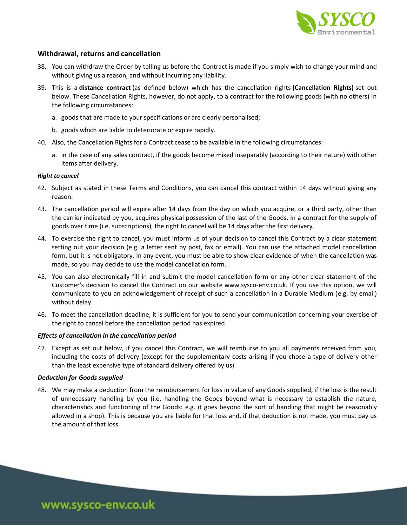

## **Withdrawal, returns and cancellation**

- 38. You can withdraw the Order by telling us before the Contract is made if you simply wish to change your mind and without giving us a reason, and without incurring any liability.
- 39. This is a **distance contract** (as defined below) which has the cancellation rights **(Cancellation Rights)** set out below. These Cancellation Rights, however, do not apply, to a contract for the following goods (with no others) in the following circumstances:
	- a. goods that are made to your specifications or are clearly personalised;
	- b. goods which are liable to deteriorate or expire rapidly.
- 40. Also, the Cancellation Rights for a Contract cease to be available in the following circumstances:
	- a. in the case of any sales contract, if the goods become mixed inseparably (according to their nature) with other items after delivery.

## *Right to cancel*

- 42. Subject as stated in these Terms and Conditions, you can cancel this contract within 14 days without giving any reason.
- 43. The cancellation period will expire after 14 days from the day on which you acquire, or a third party, other than the carrier indicated by you, acquires physical possession of the last of the Goods. In a contract for the supply of goods over time (i.e. subscriptions), the right to cancel will be 14 days after the first delivery.
- 44. To exercise the right to cancel, you must inform us of your decision to cancel this Contract by a clear statement setting out your decision (e.g. a letter sent by post, fax or email). You can use the attached model cancellation form, but it is not obligatory. In any event, you must be able to show clear evidence of when the cancellation was made, so you may decide to use the model cancellation form.
- 45. You can also electronically fill in and submit the model cancellation form or any other clear statement of the Customer's decision to cancel the Contract on our website www.sysco-env.co.uk. If you use this option, we will communicate to you an acknowledgement of receipt of such a cancellation in a Durable Medium (e.g. by email) without delay.
- 46. To meet the cancellation deadline, it is sufficient for you to send your communication concerning your exercise of the right to cancel before the cancellation period has expired.

#### *Effects of cancellation in the cancellation period*

47. Except as set out below, if you cancel this Contract, we will reimburse to you all payments received from you, including the costs of delivery (except for the supplementary costs arising if you chose a type of delivery other than the least expensive type of standard delivery offered by us).

#### *Deduction for Goods supplied*

48. We may make a deduction from the reimbursement for loss in value of any Goods supplied, if the loss is the result of unnecessary handling by you (i.e. handling the Goods beyond what is necessary to establish the nature, characteristics and functioning of the Goods: e.g. it goes beyond the sort of handling that might be reasonably allowed in a shop). This is because you are liable for that loss and, if that deduction is not made, you must pay us the amount of that loss.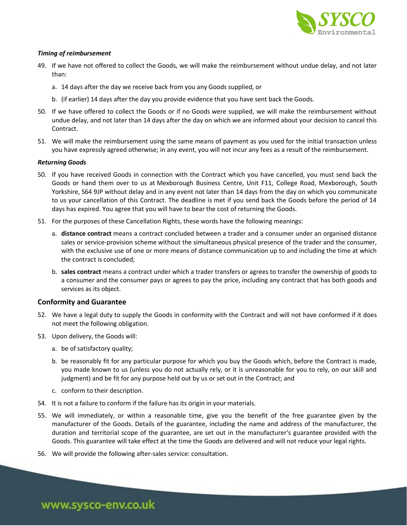

## *Timing of reimbursement*

- 49. If we have not offered to collect the Goods, we will make the reimbursement without undue delay, and not later than:
	- a. 14 days after the day we receive back from you any Goods supplied, or
	- b. (if earlier) 14 days after the day you provide evidence that you have sent back the Goods.
- 50. If we have offered to collect the Goods or if no Goods were supplied, we will make the reimbursement without undue delay, and not later than 14 days after the day on which we are informed about your decision to cancel this Contract.
- 51. We will make the reimbursement using the same means of payment as you used for the initial transaction unless you have expressly agreed otherwise; in any event, you will not incur any fees as a result of the reimbursement.

## *Returning Goods*

- 50. If you have received Goods in connection with the Contract which you have cancelled, you must send back the Goods or hand them over to us at Mexborough Business Centre, Unit F11, College Road, Mexborough, South Yorkshire, S64 9JP without delay and in any event not later than 14 days from the day on which you communicate to us your cancellation of this Contract. The deadline is met if you send back the Goods before the period of 14 days has expired. You agree that you will have to bear the cost of returning the Goods.
- 51. For the purposes of these Cancellation Rights, these words have the following meanings:
	- a. **distance contract** means a contract concluded between a trader and a consumer under an organised distance sales or service-provision scheme without the simultaneous physical presence of the trader and the consumer, with the exclusive use of one or more means of distance communication up to and including the time at which the contract is concluded;
	- b. **sales contract** means a contract under which a trader transfers or agrees to transfer the ownership of goods to a consumer and the consumer pays or agrees to pay the price, including any contract that has both goods and services as its object.

## **Conformity and Guarantee**

- 52. We have a legal duty to supply the Goods in conformity with the Contract and will not have conformed if it does not meet the following obligation.
- 53. Upon delivery, the Goods will:
	- a. be of satisfactory quality;
	- b. be reasonably fit for any particular purpose for which you buy the Goods which, before the Contract is made, you made known to us (unless you do not actually rely, or it is unreasonable for you to rely, on our skill and judgment) and be fit for any purpose held out by us or set out in the Contract; and
	- c. conform to their description.
- 54. It is not a failure to conform if the failure has its origin in your materials.
- 55. We will immediately, or within a reasonable time, give you the benefit of the free guarantee given by the manufacturer of the Goods. Details of the guarantee, including the name and address of the manufacturer, the duration and territorial scope of the guarantee, are set out in the manufacturer's guarantee provided with the Goods. This guarantee will take effect at the time the Goods are delivered and will not reduce your legal rights.
- 56. We will provide the following after-sales service: consultation.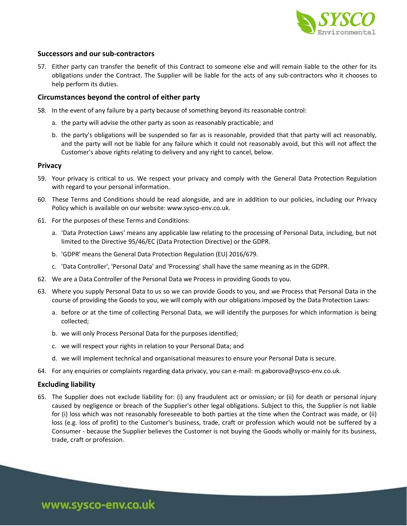

## **Successors and our sub-contractors**

57. Either party can transfer the benefit of this Contract to someone else and will remain liable to the other for its obligations under the Contract. The Supplier will be liable for the acts of any sub-contractors who it chooses to help perform its duties.

## **Circumstances beyond the control of either party**

- 58. In the event of any failure by a party because of something beyond its reasonable control:
	- a. the party will advise the other party as soon as reasonably practicable; and
	- b. the party's obligations will be suspended so far as is reasonable, provided that that party will act reasonably, and the party will not be liable for any failure which it could not reasonably avoid, but this will not affect the Customer's above rights relating to delivery and any right to cancel, below.

#### **Privacy**

- 59. Your privacy is critical to us. We respect your privacy and comply with the General Data Protection Regulation with regard to your personal information.
- 60. These Terms and Conditions should be read alongside, and are in addition to our policies, including our Privacy Policy which is available on our website: www.sysco-env.co.uk.
- 61. For the purposes of these Terms and Conditions:
	- a. 'Data Protection Laws' means any applicable law relating to the processing of Personal Data, including, but not limited to the Directive 95/46/EC (Data Protection Directive) or the GDPR.
	- b. 'GDPR' means the General Data Protection Regulation (EU) 2016/679.
	- c. 'Data Controller', 'Personal Data' and 'Processing' shall have the same meaning as in the GDPR.
- 62. We are a Data Controller of the Personal Data we Process in providing Goods to you.
- 63. Where you supply Personal Data to us so we can provide Goods to you, and we Process that Personal Data in the course of providing the Goods to you, we will comply with our obligations imposed by the Data Protection Laws:
	- a. before or at the time of collecting Personal Data, we will identify the purposes for which information is being collected;
	- b. we will only Process Personal Data for the purposes identified;
	- c. we will respect your rights in relation to your Personal Data; and
	- d. we will implement technical and organisational measures to ensure your Personal Data is secure.
- 64. For any enquiries or complaints regarding data privacy, you can e-mail: m.gaborova@sysco-env.co.uk.

## **Excluding liability**

65. The Supplier does not exclude liability for: (i) any fraudulent act or omission; or (ii) for death or personal injury caused by negligence or breach of the Supplier's other legal obligations. Subject to this, the Supplier is not liable for (i) loss which was not reasonably foreseeable to both parties at the time when the Contract was made, or (ii) loss (e.g. loss of profit) to the Customer's business, trade, craft or profession which would not be suffered by a Consumer - because the Supplier believes the Customer is not buying the Goods wholly or mainly for its business, trade, craft or profession.